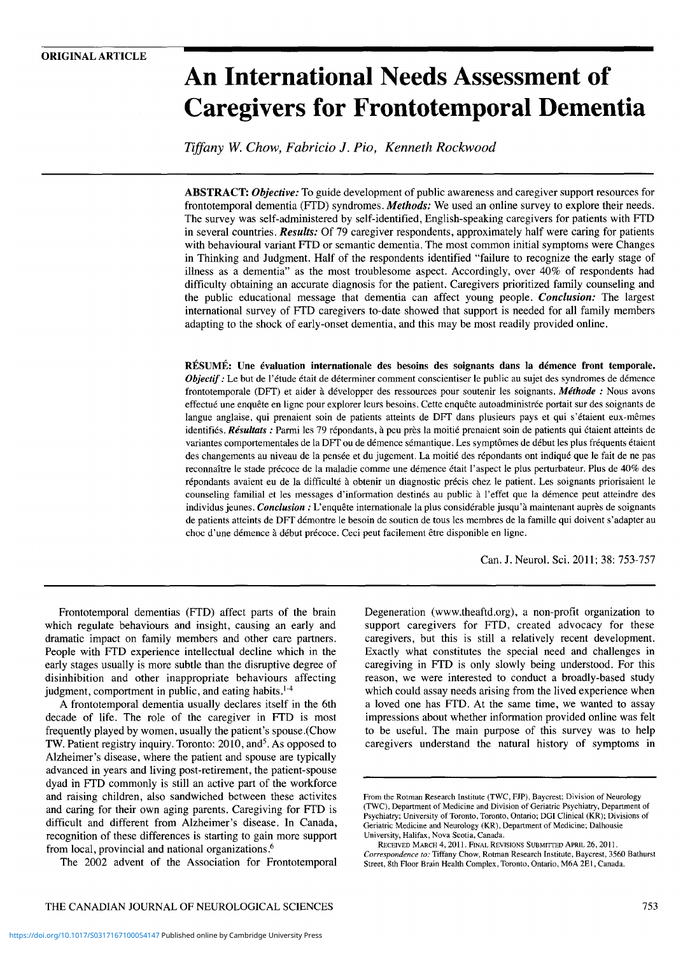# **An International Needs Assessment of Caregivers for Frontotemporal Dementia**

*Tiffany W. Chow, Fabricio J. Pio, Kenneth Rockwood* 

**ABSTRACT:** *Objective:* To guide development of public awareness and caregiver support resources for frontotemporal dementia (FTD) syndromes. *Methods:* We used an online survey to explore their needs. The survey was self-administered by self-identified, English-speaking caregivers for patients with FTD in several countries. *Results:* Of 79 caregiver respondents, approximately half were caring for patients with behavioural variant FTD or semantic dementia. The most common initial symptoms were Changes in Thinking and Judgment. Half of the respondents identified "failure to recognize the early stage of illness as a dementia" as the most troublesome aspect. Accordingly, over 40% of respondents had difficulty obtaining an accurate diagnosis for the patient. Caregivers prioritized family counseling and the public educational message that dementia can affect young people. *Conclusion:* The largest international survey of FTD caregivers to-date showed that support is needed for all family members adapting to the shock of early-onset dementia, and this may be most readily provided online.

**RESUME: Une evaluation internationale des besoins des soignants dans la demence front temporale.**  *Objectif*: Le but de l'étude était de déterminer comment conscientiser le public au sujet des syndromes de démence frontotemporale (DFT) et aider a developper des ressources pour soutenir les soignants. *Methode :* Nous avons effectue une enquete en ligne pour explorer leurs besoins. Cette enquete autoadministree portait sur des soignants de langue anglaise, qui prenaient soin de patients atteints de DFT dans plusieurs pays et qui s'étaient eux-mêmes identifiés. Résultats : Parmi les 79 répondants, à peu près la moitié prenaient soin de patients qui étaient atteints de variantes comportementales de la DFT ou de demence semantique. Les symptomes de debut les plus frequents etaient des changements au niveau de la pensee et du jugement. La moitie des repondants ont indique que le fait de ne pas reconnaitre le stade precoce de la maladie comme une demence etait l'aspect le plus perturbateur. Plus de 40% des répondants avaient eu de la difficulté à obtenir un diagnostic précis chez le patient. Les soignants priorisaient le counseling familial et les messages d'information destines au public a l'effet que la demence peut atteindre des individus jeunes. *Conclusion* : L'enquête internationale la plus considérable jusqu'à maintenant auprès de soignants de patients atteints de DFT démontre le besoin de soutien de tous les membres de la famille qui doivent s'adapter au choc d'une démence à début précoce. Ceci peut facilement être disponible en ligne.

Can. J. Neurol. Sci. 2011; 38: 753-757

Frontotemporal dementias (FTD) affect parts of the brain which regulate behaviours and insight, causing an early and dramatic impact on family members and other care partners. People with FTD experience intellectual decline which in the early stages usually is more subtle than the disruptive degree of disinhibition and other inappropriate behaviours affecting judgment, comportment in public, and eating habits. $1-4$ 

A frontotemporal dementia usually declares itself in the 6th decade of life. The role of the caregiver in FTD is most frequently played by women, usually the patient's spouse.(Chow TW. Patient registry inquiry. Toronto: 2010, and<sup>5</sup>. As opposed to Alzheimer's disease, where the patient and spouse are typically advanced in years and living post-retirement, the patient-spouse dyad in FTD commonly is still an active part of the workforce and raising children, also sandwiched between these activites and caring for their own aging parents. Caregiving for FTD is difficult and different from Alzheimer's disease. In Canada, recognition of these differences is starting to gain more support from local, provincial and national organizations.<sup>6</sup>

The 2002 advent of the Association for Frontotemporal

Degeneration (www.theaftd.org), a non-profit organization to support care[givers for FTD](http://www.theaftd.org), created advocacy for these caregivers, but this is still a relatively recent development. Exactly what constitutes the special need and challenges in caregiving in FTD is only slowly being understood. For this reason, we were interested to conduct a broadly-based study which could assay needs arising from the lived experience when a loved one has FTD. At the same time, we wanted to assay impressions about whether information provided online was felt to be useful. The main purpose of this survey was to help caregivers understand the natural history of symptoms in

From the Rotman Research Institute (TWC, FJP), Baycrest; Division of Neurology (TWC), Department of Medicine and Division of Geriatric Psychiatry, Department of Psychiatry; University of Toronto, Toronto, Ontario; DGI Clinical (KR); Divisions of Geriatric Medicine and Neurology (KR), Department of Medicine; Dalhousie University, Halifax, Nova Scotia, Canada.

RECEIVED MARCH 4,2011. FINAL REVISIONS SUBMITTED APRIL 26,2011. *Correspondence to:* Tiffany Chow, Rotman Research Institute, Baycrest, 3560 Bathurst Street, 8th Floor Brain Health Complex, Toronto, Ontario, M6A 2E1, Canada.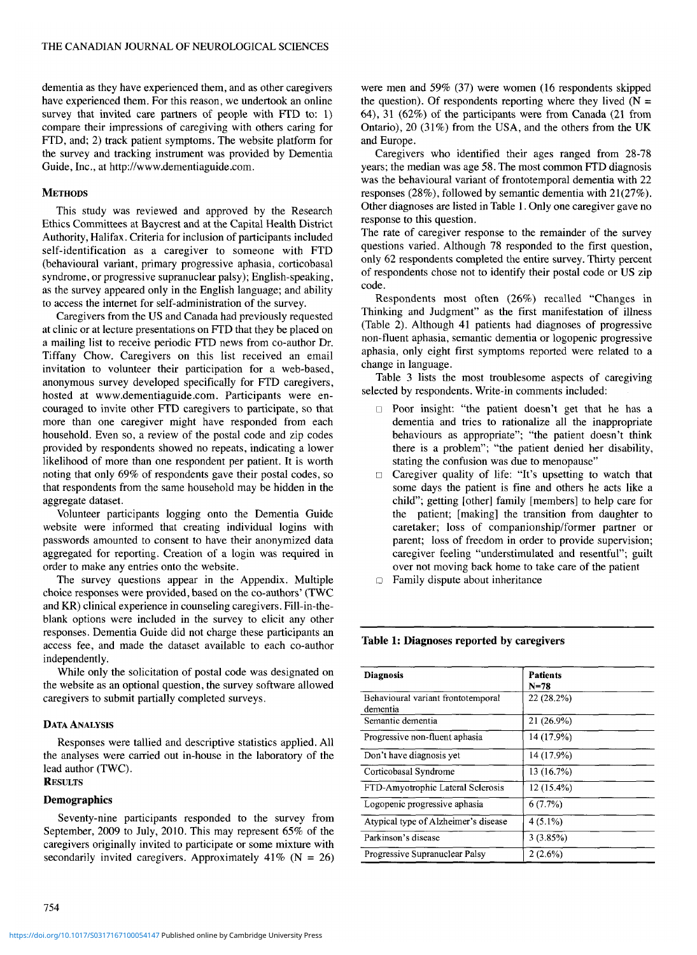dementia as they have experienced them, and as other caregivers have experienced them. For this reason, we undertook an online survey that invited care partners of people with FTD to: 1) compare their impressions of caregiving with others caring for FTD, and; 2) track patient symptoms. The website platform for the survey and tracking instrument was provided by Dementia Guide, Inc., at htt[p://www.dementiaguide.com.](http://www.dementiaguide.com) 

#### **METHODS**

This study was reviewed and approved by the Research Ethics Committees at Baycrest and at the Capital Health District Authority, Halifax. Criteria for inclusion of participants included self-identification as a caregiver to someone with FTD (behavioural variant, primary progressive aphasia, corticobasal syndrome, or progressive supranuclear palsy); English-speaking, as the survey appeared only in the English language; and ability to access the internet for self-administration of the survey.

Caregivers from the US and Canada had previously requested at clinic or at lecture presentations on FTD that they be placed on a mailing list to receive periodic FTD news from co-author Dr. Tiffany Chow. Caregivers on this list received an email invitation to volunteer their participation for a web-based, anonymous survey developed specifically for FTD caregivers, hosted at w[ww.dementiaguide.com. P](http://www.dementiaguide.com)articipants were encouraged to invite other FTD caregivers to participate, so that more than one caregiver might have responded from each household. Even so, a review of the postal code and zip codes provided by respondents showed no repeats, indicating a lower likelihood of more than one respondent per patient. It is worth noting that only 69% of respondents gave their postal codes, so that respondents from the same household may be hidden in the aggregate dataset.

Volunteer participants logging onto the Dementia Guide website were informed that creating individual logins with passwords amounted to consent to have their anonymized data aggregated for reporting. Creation of a login was required in order to make any entries onto the website.

The survey questions appear in the Appendix. Multiple choice responses were provided, based on the co-authors' (TWC and KR) clinical experience in counseling caregivers. Fill-in-the blank options were included in the survey to elicit any other responses. Dementia Guide did not charge these participants an access fee, and made the dataset available to each co-author independently.

While only the solicitation of postal code was designated on the website as an optional question, the survey software allowed caregivers to submit partially completed surveys.

### DATA ANALYSIS

Responses were tallied and descriptive statistics applied. All the analyses were carried out in-house in the laboratory of the lead author (TWC).

# **RESULTS**

# **Demographics**

Seventy-nine participants responded to the survey from September, 2009 to July, 2010. This may represent 65% of the caregivers originally invited to participate or some mixture with secondarily invited caregivers. Approximately  $41\%$  (N = 26)

were men and 59% (37) were women (16 respondents skipped the question). Of respondents reporting where they lived  $(N =$ 64), 31 (62%) of the participants were from Canada (21 from Ontario), 20 (31%) from the USA, and the others from the UK and Europe.

Caregivers who identified their ages ranged from 28-78 years; the median was age 58. The most common FTD diagnosis was the behavioural variant of frontotemporal dementia with 22 responses (28%), followed by semantic dementia with 21(27%). Other diagnoses are listed in Table 1. Only one caregiver gave no response to this question.

The rate of caregiver response to the remainder of the survey questions varied. Although 78 responded to the first question, only 62 respondents completed the entire survey. Thirty percent of respondents chose not to identify their postal code or US zip code.

Respondents most often (26%) recalled "Changes in Thinking and Judgment" as the first manifestation of illness (Table 2). Although 41 patients had diagnoses of progressive non-fluent aphasia, semantic dementia or logopenic progressive aphasia, only eight first symptoms reported were related to a change in language.

Table 3 lists the most troublesome aspects of caregiving selected by respondents. Write-in comments included:

- $\Box$  Poor insight: "the patient doesn't get that he has a dementia and tries to rationalize all the inappropriate behaviours as appropriate"; "the patient doesn't think there is a problem"; "the patient denied her disability, stating the confusion was due to menopause"
- $\Box$  Caregiver quality of life: "It's upsetting to watch that some days the patient is fine and others he acts like a child"; getting [other] family [members] to help care for the patient; [making] the transition from daughter to caretaker; loss of companionship/former partner or parent; loss of freedom in order to provide supervision; caregiver feeling "understimulated and resentful"; guilt over not moving back home to take care of the patient
- $\Box$  Family dispute about inheritance

# **Table 1: Diagnoses reported by caregivers**

| <b>Diagnosis</b>                               | <b>Patients</b><br>$N = 78$ |
|------------------------------------------------|-----------------------------|
| Behavioural variant frontotemporal<br>dementia | 22 (28.2%)                  |
| Semantic dementia                              | 21 (26.9%)                  |
| Progressive non-fluent aphasia                 | 14 (17.9%)                  |
| Don't have diagnosis yet                       | 14 (17.9%)                  |
| Corticobasal Syndrome                          | 13 (16.7%)                  |
| FTD-Amyotrophic Lateral Sclerosis              | 12 (15.4%)                  |
| Logopenic progressive aphasia                  | 6(7.7%)                     |
| Atypical type of Alzheimer's disease           | $4(5.1\%)$                  |
| Parkinson's disease                            | 3(3.85%)                    |
| Progressive Supranuclear Palsy                 | $2(2.6\%)$                  |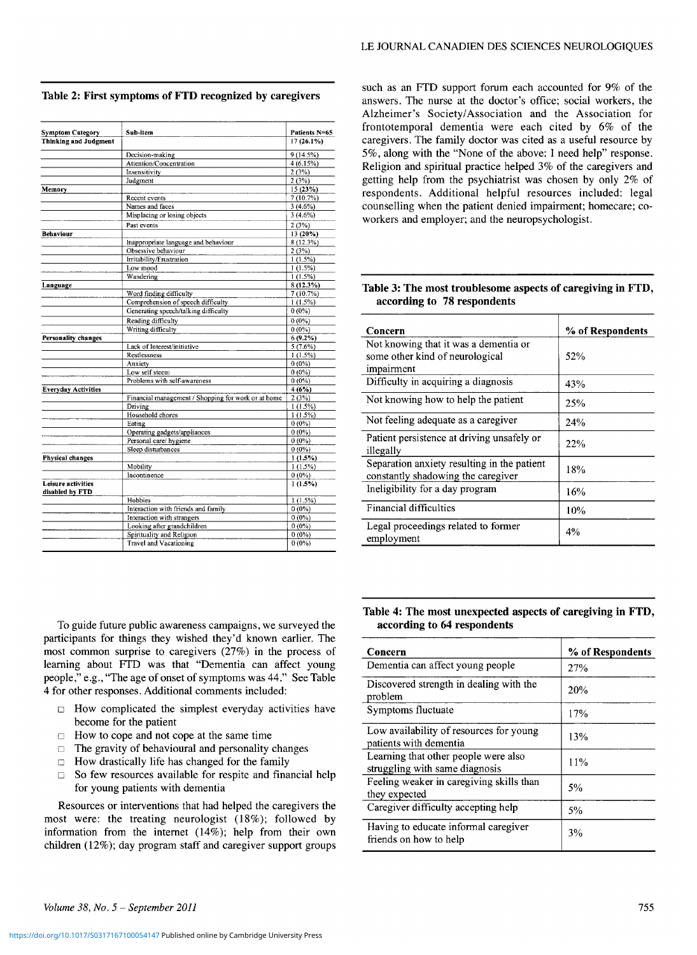### **Table 2: First symptoms of FTD recognized by caregivers**

| <b>Symptom Category</b>               | Sub-item                                            | Patients N=65         |
|---------------------------------------|-----------------------------------------------------|-----------------------|
| <b>Thinking and Judgment</b>          |                                                     | 17 (26.1%)            |
|                                       |                                                     |                       |
|                                       | Decision-making                                     | 9(14.5%)              |
|                                       | Attention/Concentration                             | 4(6.15%)              |
|                                       | Insensitivity                                       | 2(3%)                 |
|                                       | Judgment                                            | 2(3%)                 |
| Memory                                |                                                     | 15(23%)               |
|                                       | Recent events                                       | 7(10.7%)              |
|                                       | Names and faces                                     | $3(4.6\%)$            |
|                                       | Misplacing or losing objects                        | 3(4.6%)               |
|                                       | Past events                                         | 2(3%)                 |
| Behaviour                             |                                                     | $\overline{13}$ (20%) |
|                                       | Inappropriate language and behaviour                | $8(12.3\%)$           |
|                                       | Obsessive behaviour                                 | 2(3%)                 |
|                                       | Irritability/Frustration                            | 1(1.5%)               |
|                                       | Low mood                                            | $1(1.5\%)$            |
|                                       | Wandering                                           | 1(1.5%)               |
| Language                              |                                                     | 8 (12.3%)             |
|                                       | Word finding difficulty                             | 7(10.7%)              |
|                                       | Comprehension of speech difficulty                  | 1(1.5%)               |
|                                       | Generating speech/talking difficulty                | $0(0\%)$              |
|                                       | Reading difficulty                                  | $0(0\%)$              |
|                                       | Writing difficulty                                  | $0(0\%)$              |
| <b>Personality changes</b>            |                                                     | 6(9.2%)               |
|                                       | Lack of Interest/initiative                         | 5(7.6%)               |
|                                       | Restlessness                                        | 1(1.5%)               |
|                                       | Anxiety                                             | $0(0\%)$              |
|                                       | Low self steem                                      | $0(0\%)$              |
|                                       | Problems with self-awareness                        | $0(0\%)$              |
| <b>Everyday Activities</b>            |                                                     | 4(6%)                 |
|                                       | Financial management / Shopping for work or at home | 2(3%)                 |
|                                       | Driving                                             | $1(1.5\%)$            |
|                                       | Household chores                                    | 1(1.5%)               |
|                                       | Eating                                              | $0(0\%)$              |
|                                       | Operating gadgets/appliances                        | $0(0\%)$              |
|                                       | Personal care/hygiene                               | $0(0\%)$              |
|                                       | Sleep disturbances                                  | $0(0\%)$              |
| <b>Physical changes</b>               |                                                     | 1(1.5%)               |
|                                       | Mobility                                            | 1(1.5%)               |
|                                       | Incontinence                                        | $0(0\%)$              |
| Leisure activities<br>disabled by FTD |                                                     | 1(1.5%)               |
|                                       | Hobbies                                             | 1(1.5%)               |
|                                       | Interaction with friends and family                 | $0(0\%)$              |
|                                       | Interaction with strangers                          | $0(0\%)$              |
|                                       | Looking after grandchildren                         | 0(0%)                 |
|                                       | Spirituality and Religion                           | $0(0\%)$              |
|                                       | <b>Travel and Vacationing</b>                       | $0(0\%)$              |

such as an FTD support forum each accounted for 9% of the answers. The nurse at the doctor's office; social workers, the Alzheimer's Society/Association and the Association for frontotemporal dementia were each cited by 6% of the caregivers. The family doctor was cited as a useful resource by 5%, along with the "None of the above: I need help" response. Religion and spiritual practice helped 3% of the caregivers and getting help from the psychiatrist was chosen by only 2% of respondents. Additional helpful resources included: legal counselling when the patient denied impairment; homecare; coworkers and employer; and the neuropsychologist.

### **Table 3: The most troublesome aspects of caregiving in FTD, according to 78 respondents**

| Concern                                                                                | % of Respondents |
|----------------------------------------------------------------------------------------|------------------|
| Not knowing that it was a dementia or<br>some other kind of neurological<br>impairment | 52%              |
| Difficulty in acquiring a diagnosis                                                    | 43%              |
| Not knowing how to help the patient                                                    | 25%              |
| Not feeling adequate as a caregiver                                                    | 24%              |
| Patient persistence at driving unsafely or<br>illegally                                | 22%              |
| Separation anxiety resulting in the patient<br>constantly shadowing the caregiver      | 18%              |
| Ineligibility for a day program                                                        | 16%              |
| Financial difficulties                                                                 | 10%              |
| Legal proceedings related to former<br>employment                                      | 4%               |

To guide future public awareness campaigns, we surveyed the participants for things they wished they'd known earlier. The most common surprise to caregivers (27%) in the process of learning about FTD was that "Dementia can affect young people," e.g., "The age of onset of symptoms was 44." See Table 4 for other responses. Additional comments included:

- $\Box$  How complicated the simplest everyday activities have become for the patient
- $\Box$  How to cope and not cope at the same time
- $\Box$  The gravity of behavioural and personality changes
- $\Box$  How drastically life has changed for the family
- $\Box$  So few resources available for respite and financial help for young patients with dementia

Resources or interventions that had helped the caregivers the most were: the treating neurologist (18%); followed by information from the internet (14%); help from their own children (12%); day program staff and caregiver support groups **Table 4: The most unexpected aspects of caregiving in FTD, according to 64 respondents** 

| Concern                                                                | % of Respondents |
|------------------------------------------------------------------------|------------------|
| Dementia can affect young people                                       | 27%              |
| Discovered strength in dealing with the<br>problem                     | 20%              |
| Symptoms fluctuate                                                     | 17%              |
| Low availability of resources for young<br>patients with dementia      | 13%              |
| Learning that other people were also<br>struggling with same diagnosis | 11%              |
| Feeling weaker in caregiving skills than<br>they expected              | 5%               |
| Caregiver difficulty accepting help                                    | 5%               |
| Having to educate informal caregiver<br>friends on how to help         | 3%               |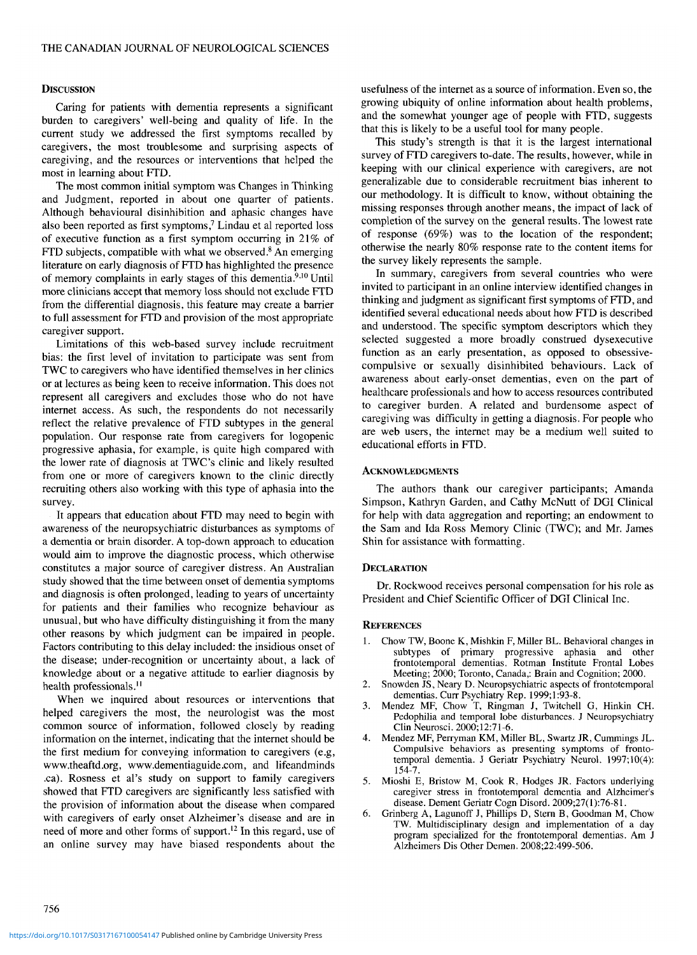#### **DISCUSSION**

Caring for patients with dementia represents a significant burden to caregivers' well-being and quality of life. In the current study we addressed the first symptoms recalled by caregivers, the most troublesome and surprising aspects of caregiving, and the resources or interventions that helped the most in learning about FTD.

The most common initial symptom was Changes in Thinking and Judgment, reported in about one quarter of patients. Although behavioural disinhibition and aphasic changes have also been reported as first symptoms,<sup>7</sup> Lindau et al reported loss of executive function as a first symptom occurring in 21% of FTD subjects, compatible with what we observed. $8$  An emerging literature on early diagnosis of FTD has highlighted the presence of memory complaints in early stages of this dementia.<sup>9,10</sup> Until more clinicians accept that memory loss should not exclude FTD from the differential diagnosis, this feature may create a barrier to full assessment for FTD and provision of the most appropriate caregiver support.

Limitations of this web-based survey include recruitment bias: the first level of invitation to participate was sent from TWC to caregivers who have identified themselves in her clinics or at lectures as being keen to receive information. This does not represent all caregivers and excludes those who do not have internet access. As such, the respondents do not necessarily reflect the relative prevalence of FTD subtypes in the general population. Our response rate from caregivers for logopenic progressive aphasia, for example, is quite high compared with the lower rate of diagnosis at TWC's clinic and likely resulted from one or more of caregivers known to the clinic directly recruiting others also working with this type of aphasia into the survey.

It appears that education about FTD may need to begin with awareness of the neuropsychiatric disturbances as symptoms of a dementia or brain disorder. A top-down approach to education would aim to improve the diagnostic process, which otherwise constitutes a major source of caregiver distress. An Australian study showed that the time between onset of dementia symptoms and diagnosis is often prolonged, leading to years of uncertainty for patients and their families who recognize behaviour as unusual, but who have difficulty distinguishing it from the many other reasons by which judgment can be impaired in people. Factors contributing to this delay included: the insidious onset of the disease; under-recognition or uncertainty about, a lack of knowledge about or a negative attitude to earlier diagnosis by health professionals.<sup>11</sup>

When we inquired about resources or interventions that helped caregivers the most, the neurologist was the most common source of information, followed closely by reading information on the internet, indicating that the internet should be the first medium for conveying information to caregivers (e.g, ww[w.theaftd.org, w](http://www.theaftd.org)w[w.dementiaguide.com, an](http://www.dementiaguide.com)d lifeandminds .ca). Rosness et al's study on support to family caregivers showed that FTD caregivers are significantly less satisfied with the provision of information about the disease when compared with caregivers of early onset Alzheimer's disease and are in need of more and other forms of support.<sup>12</sup> In this regard, use of an online survey may have biased respondents about the

usefulness of the internet as a source of information. Even so, the growing ubiquity of online information about health problems, and the somewhat younger age of people with FTD, suggests that this is likely to be a useful tool for many people.

This study's strength is that it is the largest international survey of FTD caregivers to-date. The results, however, while in keeping with our clinical experience with caregivers, are not generalizable due to considerable recruitment bias inherent to our methodology. It is difficult to know, without obtaining the missing responses through another means, the impact of lack of completion of the survey on the general results. The lowest rate of response (69%) was to the location of the respondent; otherwise the nearly 80% response rate to the content items for the survey likely represents the sample.

In summary, caregivers from several countries who were invited to participant in an online interview identified changes in thinking and judgment as significant first symptoms of FTD, and identified several educational needs about how FTD is described and understood. The specific symptom descriptors which they selected suggested a more broadly construed dysexecutive function as an early presentation, as opposed to obsessivecompulsive or sexually disinhibited behaviours. Lack of awareness about early-onset dementias, even on the part of healthcare professionals and how to access resources contributed to caregiver burden. A related and burdensome aspect of caregiving was difficulty in getting a diagnosis. For people who are web users, the internet may be a medium well suited to educational efforts in FTD.

#### **ACKNOWLEDGMENTS**

The authors thank our caregiver participants; Amanda Simpson, Kathryn Garden, and Cathy McNutt of DGI Clinical for help with data aggregation and reporting; an endowment to the Sam and Ida Ross Memory Clinic (TWC); and Mr. James Shin for assistance with formatting.

#### **DECLARATION**

Dr. Rockwood receives personal compensation for his role as President and Chief Scientific Officer of DGI Clinical Inc.

#### **REFERENCES**

- 1. Chow TW, Boone K, Mishkin F, Miller BL. Behavioral changes in frontotemporal dementias. Rotman Institute Frontal Lobes Meeting; 2000; Toronto, Canada,: Brain and Cognition; 2000.
- 2. Snowden JS, Neary D. Neuropsychiatric aspects of frontotemporal dementias. Curr Psychiatry Rep. 1999;1:93-8. 3. Mendez MF, Chow T, Ringman J, Twitchell G, Hinkin CH.
- Pedophilia and temporal lobe disturbances. J Neuropsychiatry Clin Neurosci. 2000;12:71-6.
- 4. Mendez MF, Perryman KM, Miller BL, Swartz JR, Cummings JL.<br>
Compulsive behaviors as presenting symptoms of fronto-<br>
temporal dementia. J Geriatr Psychiatry Neurol. 1997;10(4):<br>
154-7.
- 5. Mioshi E, Bristow M, Cook R, Hodges JR. Factors underlying caregiver stress in frontotemporal dementia and Alzheimer's disease. Dement Geriatr Cogn Disord. 2009;27(1):76-81.
- 6. Grinberg A, Lagunoff J, Phillips D, Stern B, Goodman M, Chow TW. Multidisciplinary design and implementation of a day program specialized for the frontotemporal dementias. Am J Alzheimers Dis Other Demen. 2008;22:499-506.